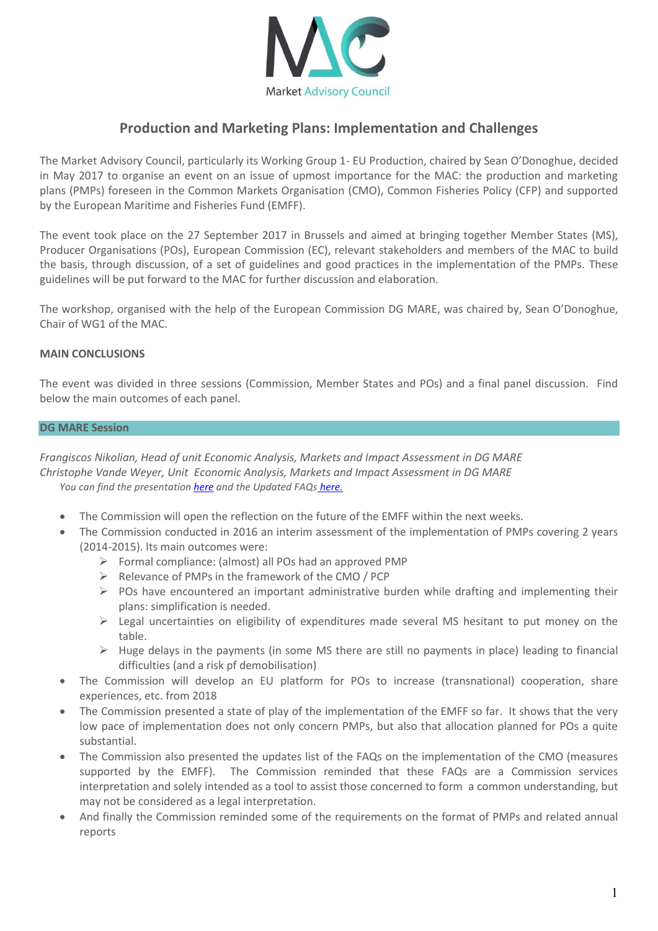

# **Production and Marketing Plans: Implementation and Challenges**

The Market Advisory Council, particularly its Working Group 1- EU Production, chaired by Sean O'Donoghue, decided in May 2017 to organise an event on an issue of upmost importance for the MAC: the production and marketing plans (PMPs) foreseen in the Common Markets Organisation (CMO), Common Fisheries Policy (CFP) and supported by the European Maritime and Fisheries Fund (EMFF).

The event took place on the 27 September 2017 in Brussels and aimed at bringing together Member States (MS), Producer Organisations (POs), European Commission (EC), relevant stakeholders and members of the MAC to build the basis, through discussion, of a set of guidelines and good practices in the implementation of the PMPs. These guidelines will be put forward to the MAC for further discussion and elaboration.

The workshop, organised with the help of the European Commission DG MARE, was chaired by, Sean O'Donoghue, Chair of WG1 of the MAC.

#### **MAIN CONCLUSIONS**

The event was divided in three sessions (Commission, Member States and POs) and a final panel discussion. Find below the main outcomes of each panel.

#### **DG MARE Session**

*Frangiscos Nikolian, Head of unit Economic Analysis, Markets and Impact Assessment in DG MARE Christophe Vande Weyer, Unit Economic Analysis, Markets and Impact Assessment in DG MARE You can find the presentatio[n here](https://www.dropbox.com/s/hfu7gkkawz4ad2o/DG%20MARE%20MAC%20-%20PMP%20event%20-%20270917.pptx?dl=0) and the Updated FAQs [here.](https://www.dropbox.com/s/2vnioc852sgrpg0/DG%20MARE%20MAC%20-%20PMP%20Event%20-%20update%20of%20FAQs%20-%20270917.pptx?dl=0)*

- The Commission will open the reflection on the future of the EMFF within the next weeks.
- The Commission conducted in 2016 an interim assessment of the implementation of PMPs covering 2 years (2014-2015). Its main outcomes were:
	- $\triangleright$  Formal compliance: (almost) all POs had an approved PMP
	- $\triangleright$  Relevance of PMPs in the framework of the CMO / PCP
	- $\triangleright$  POs have encountered an important administrative burden while drafting and implementing their plans: simplification is needed.
	- $\triangleright$  Legal uncertainties on eligibility of expenditures made several MS hesitant to put money on the table.
	- $\triangleright$  Huge delays in the payments (in some MS there are still no payments in place) leading to financial difficulties (and a risk pf demobilisation)
- The Commission will develop an EU platform for POs to increase (transnational) cooperation, share experiences, etc. from 2018
- The Commission presented a state of play of the implementation of the EMFF so far. It shows that the very low pace of implementation does not only concern PMPs, but also that allocation planned for POs a quite substantial.
- The Commission also presented the updates list of the FAQs on the implementation of the CMO (measures supported by the EMFF). The Commission reminded that these FAQs are a Commission services interpretation and solely intended as a tool to assist those concerned to form a common understanding, but may not be considered as a legal interpretation.
- And finally the Commission reminded some of the requirements on the format of PMPs and related annual reports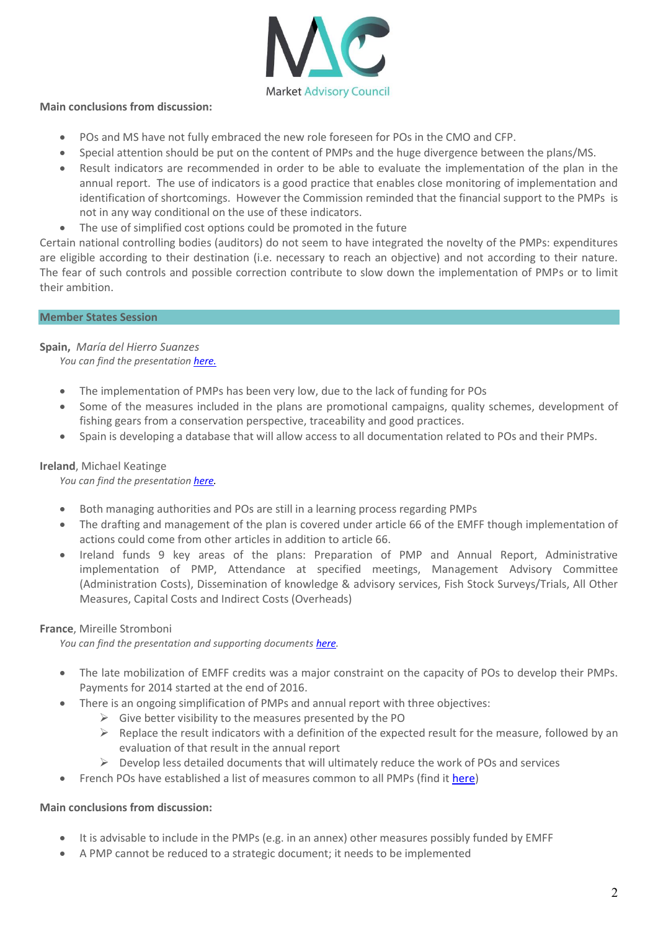

# **Main conclusions from discussion:**

- POs and MS have not fully embraced the new role foreseen for POs in the CMO and CFP.
- Special attention should be put on the content of PMPs and the huge divergence between the plans/MS.
- Result indicators are recommended in order to be able to evaluate the implementation of the plan in the annual report. The use of indicators is a good practice that enables close monitoring of implementation and identification of shortcomings. However the Commission reminded that the financial support to the PMPs is not in any way conditional on the use of these indicators.
- The use of simplified cost options could be promoted in the future

Certain national controlling bodies (auditors) do not seem to have integrated the novelty of the PMPs: expenditures are eligible according to their destination (i.e. necessary to reach an objective) and not according to their nature. The fear of such controls and possible correction contribute to slow down the implementation of PMPs or to limit their ambition.

# **Member States Session**

**Spain,** *María del Hierro Suanzes*

*You can find the presentatio[n here.](https://www.dropbox.com/s/oduh2zd8lzndvmt/Spain_MAC%2027_Sept.%20Def..pptx?dl=0)*

- The implementation of PMPs has been very low, due to the lack of funding for POs
- Some of the measures included in the plans are promotional campaigns, quality schemes, development of fishing gears from a conservation perspective, traceability and good practices.
- Spain is developing a database that will allow access to all documentation related to POs and their PMPs.

# **Ireland**, Michael Keatinge

*You can find the presentatio[n here.](https://www.dropbox.com/s/0p512yktcckn1s9/Ireland.pptx?dl=0)*

- Both managing authorities and POs are still in a learning process regarding PMPs
- The drafting and management of the plan is covered under article 66 of the EMFF though implementation of actions could come from other articles in addition to article 66.
- Ireland funds 9 key areas of the plans: Preparation of PMP and Annual Report, Administrative implementation of PMP, Attendance at specified meetings, Management Advisory Committee (Administration Costs), Dissemination of knowledge & advisory services, Fish Stock Surveys/Trials, All Other Measures, Capital Costs and Indirect Costs (Overheads)

# **France**, Mireille Stromboni

*You can find the presentation and supporting documents [here.](https://www.dropbox.com/sh/v3vn5k78pgewp6z/AAC1tUgHLfY8eVxk89qOgPOra?dl=0)* 

- The late mobilization of EMFF credits was a major constraint on the capacity of POs to develop their PMPs. Payments for 2014 started at the end of 2016.
- There is an ongoing simplification of PMPs and annual report with three objectives:
	- $\triangleright$  Give better visibility to the measures presented by the PO
	- $\triangleright$  Replace the result indicators with a definition of the expected result for the measure, followed by an evaluation of that result in the annual report
	- $\triangleright$  Develop less detailed documents that will ultimately reduce the work of POs and services
- French POs have established a list of measures common to all PMPs (find it [here\)](https://www.dropbox.com/s/t6x2abhpxjbyw87/Measures%20Common%20to%20all%20POs.pdf?dl=0)

# **Main conclusions from discussion:**

- It is advisable to include in the PMPs (e.g. in an annex) other measures possibly funded by EMFF
- A PMP cannot be reduced to a strategic document; it needs to be implemented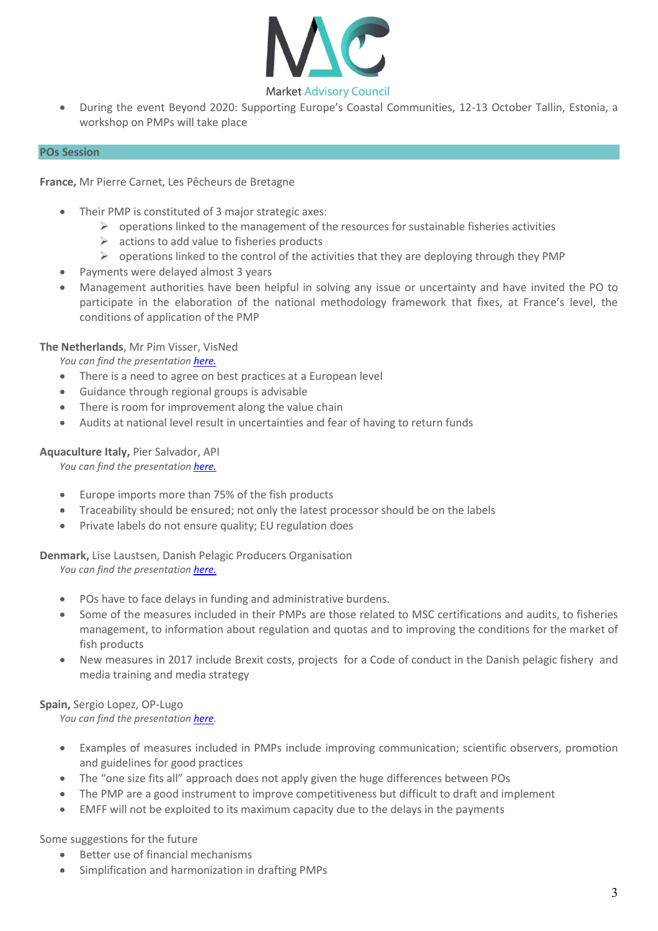

 During the event Beyond 2020: Supporting Europe's Coastal Communities, 12-13 October Tallin, Estonia, a workshop on PMPs will take place

#### **POs Session**

**France,** Mr Pierre Carnet, Les Pêcheurs de Bretagne

- Their PMP is constituted of 3 major strategic axes:
	- $\triangleright$  operations linked to the management of the resources for sustainable fisheries activities
	- $\triangleright$  actions to add value to fisheries products
	- $\triangleright$  operations linked to the control of the activities that they are deploying through they PMP
- Payments were delayed almost 3 years
- Management authorities have been helpful in solving any issue or uncertainty and have invited the PO to participate in the elaboration of the national methodology framework that fixes, at France's level, the conditions of application of the PMP

# **The Netherlands**, Mr Pim Visser, VisNed

*You can find the presentatio[n here.](https://www.dropbox.com/s/66l5p7dslwgghpn/VisNed.pdf?dl=0)*

- There is a need to agree on best practices at a European level
- Guidance through regional groups is advisable
- There is room for improvement along the value chain
- Audits at national level result in uncertainties and fear of having to return funds

#### **Aquaculture Italy,** Pier Salvador, API

*You can find the presentation [here.](https://www.dropbox.com/s/ulkx0my2f5dfe2d/API%20Pier%20PAS%20MAC%202017.pptx?dl=0)*

- Europe imports more than 75% of the fish products
- Traceability should be ensured; not only the latest processor should be on the labels
- Private labels do not ensure quality; EU regulation does

**Denmark,** Lise Laustsen, Danish Pelagic Producers Organisation

*You can find the presentatio[n here.](https://www.dropbox.com/s/sszukniwg80m5al/Danish%20Pelagic%20PO.pptx?dl=0)*

- POs have to face delays in funding and administrative burdens.
- Some of the measures included in their PMPs are those related to MSC certifications and audits, to fisheries management, to information about regulation and quotas and to improving the conditions for the market of fish products
- New measures in 2017 include Brexit costs, projects for a Code of conduct in the Danish pelagic fishery and media training and media strategy

# **Spain,** Sergio Lopez, OP-Lugo

*You can find the presentatio[n here.](https://www.dropbox.com/s/1mt4qzffg53ejqh/OPP%20Lugo%202017-09-27%20MAC%20Bruselas%20PPyC.pptx?dl=0)*

- Examples of measures included in PMPs include improving communication; scientific observers, promotion and guidelines for good practices
- The "one size fits all" approach does not apply given the huge differences between POs
- The PMP are a good instrument to improve competitiveness but difficult to draft and implement
- EMFF will not be exploited to its maximum capacity due to the delays in the payments

Some suggestions for the future

- Better use of financial mechanisms
- Simplification and harmonization in drafting PMPs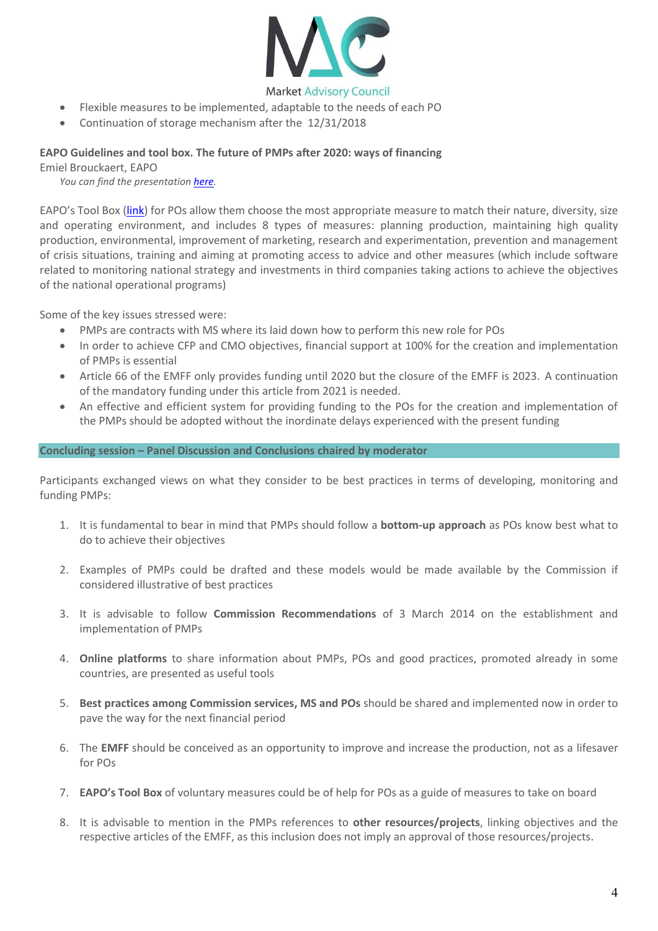

- Flexible measures to be implemented, adaptable to the needs of each PO
- Continuation of storage mechanism after the 12/31/2018

#### **EAPO Guidelines and tool box. The future of PMPs after 2020: ways of financing**

Emiel Brouckaert, EAPO

*You can find the presentatio[n here.](https://www.dropbox.com/s/4852j5yof0nhdt5/20170927%20EAPO%20-%20MAC%20PMP%20Workshop.pdf?dl=0)*

EAPO's Tool Box ([link\)](http://eapo.com/UserFiles/EAPO%20Position%20Paper%20Production%20and%20Marketing%20Plans%20-%209%20Jan%202012%20%28Final%29.pdf) for POs allow them choose the most appropriate measure to match their nature, diversity, size and operating environment, and includes 8 types of measures: planning production, maintaining high quality production, environmental, improvement of marketing, research and experimentation, prevention and management of crisis situations, training and aiming at promoting access to advice and other measures (which include software related to monitoring national strategy and investments in third companies taking actions to achieve the objectives of the national operational programs)

Some of the key issues stressed were:

- PMPs are contracts with MS where its laid down how to perform this new role for POs
- In order to achieve CFP and CMO objectives, financial support at 100% for the creation and implementation of PMPs is essential
- Article 66 of the EMFF only provides funding until 2020 but the closure of the EMFF is 2023. A continuation of the mandatory funding under this article from 2021 is needed.
- An effective and efficient system for providing funding to the POs for the creation and implementation of the PMPs should be adopted without the inordinate delays experienced with the present funding

#### **Concluding session – Panel Discussion and Conclusions chaired by moderator**

Participants exchanged views on what they consider to be best practices in terms of developing, monitoring and funding PMPs:

- 1. It is fundamental to bear in mind that PMPs should follow a **bottom-up approach** as POs know best what to do to achieve their objectives
- 2. Examples of PMPs could be drafted and these models would be made available by the Commission if considered illustrative of best practices
- 3. It is advisable to follow **Commission Recommendations** of 3 March 2014 on the establishment and implementation of PMPs
- 4. **Online platforms** to share information about PMPs, POs and good practices, promoted already in some countries, are presented as useful tools
- 5. **Best practices among Commission services, MS and POs** should be shared and implemented now in order to pave the way for the next financial period
- 6. The **EMFF** should be conceived as an opportunity to improve and increase the production, not as a lifesaver for POs
- 7. **EAPO's Tool Box** of voluntary measures could be of help for POs as a guide of measures to take on board
- 8. It is advisable to mention in the PMPs references to **other resources/projects**, linking objectives and the respective articles of the EMFF, as this inclusion does not imply an approval of those resources/projects.